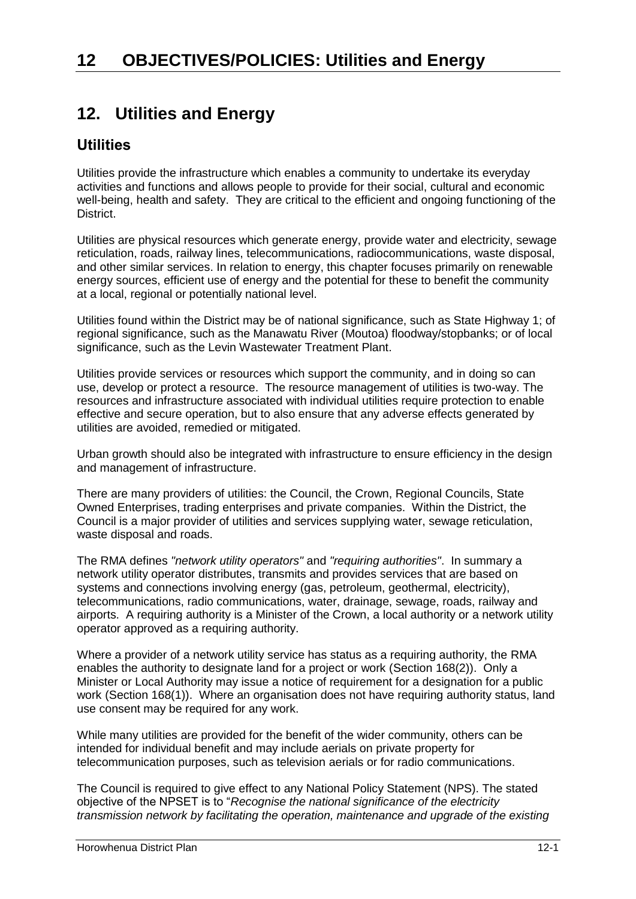# **12. Utilities and Energy**

## **Utilities**

Utilities provide the infrastructure which enables a community to undertake its everyday activities and functions and allows people to provide for their social, cultural and economic well-being, health and safety. They are critical to the efficient and ongoing functioning of the District.

Utilities are physical resources which generate energy, provide water and electricity, sewage reticulation, roads, railway lines, telecommunications, radiocommunications, waste disposal, and other similar services. In relation to energy, this chapter focuses primarily on renewable energy sources, efficient use of energy and the potential for these to benefit the community at a local, regional or potentially national level.

Utilities found within the District may be of national significance, such as State Highway 1; of regional significance, such as the Manawatu River (Moutoa) floodway/stopbanks; or of local significance, such as the Levin Wastewater Treatment Plant.

Utilities provide services or resources which support the community, and in doing so can use, develop or protect a resource. The resource management of utilities is two-way. The resources and infrastructure associated with individual utilities require protection to enable effective and secure operation, but to also ensure that any adverse effects generated by utilities are avoided, remedied or mitigated.

Urban growth should also be integrated with infrastructure to ensure efficiency in the design and management of infrastructure.

There are many providers of utilities: the Council, the Crown, Regional Councils, State Owned Enterprises, trading enterprises and private companies. Within the District, the Council is a major provider of utilities and services supplying water, sewage reticulation, waste disposal and roads.

The RMA defines *"network utility operators"* and *"requiring authorities"*. In summary a network utility operator distributes, transmits and provides services that are based on systems and connections involving energy (gas, petroleum, geothermal, electricity), telecommunications, radio communications, water, drainage, sewage, roads, railway and airports. A requiring authority is a Minister of the Crown, a local authority or a network utility operator approved as a requiring authority.

Where a provider of a network utility service has status as a requiring authority, the RMA enables the authority to designate land for a project or work (Section 168(2)). Only a Minister or Local Authority may issue a notice of requirement for a designation for a public work (Section 168(1)). Where an organisation does not have requiring authority status, land use consent may be required for any work.

While many utilities are provided for the benefit of the wider community, others can be intended for individual benefit and may include aerials on private property for telecommunication purposes, such as television aerials or for radio communications.

The Council is required to give effect to any National Policy Statement (NPS). The stated objective of the NPSET is to "*Recognise the national significance of the electricity transmission network by facilitating the operation, maintenance and upgrade of the existing*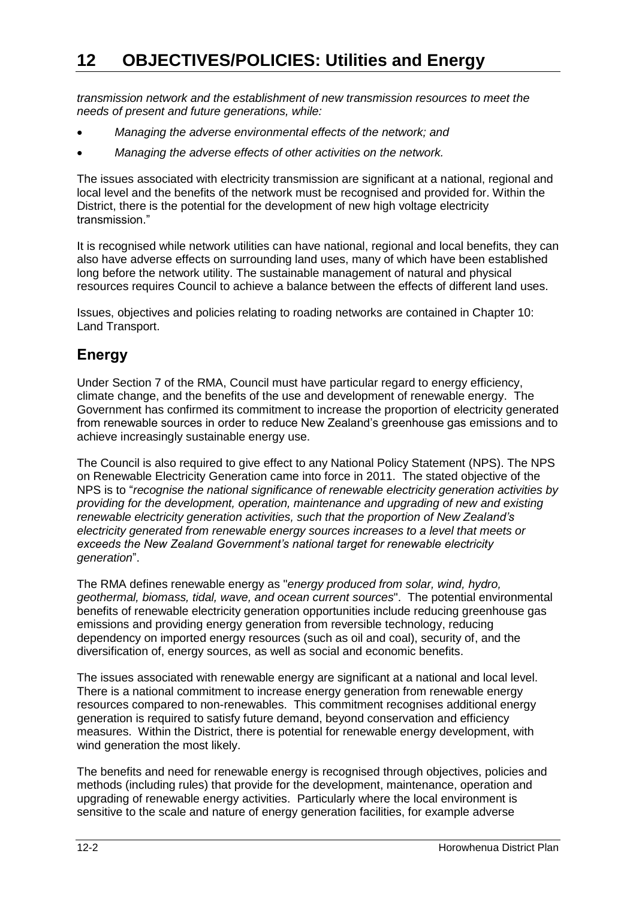*transmission network and the establishment of new transmission resources to meet the needs of present and future generations, while:* 

- *Managing the adverse environmental effects of the network; and*
- *Managing the adverse effects of other activities on the network.*

The issues associated with electricity transmission are significant at a national, regional and local level and the benefits of the network must be recognised and provided for. Within the District, there is the potential for the development of new high voltage electricity transmission."

It is recognised while network utilities can have national, regional and local benefits, they can also have adverse effects on surrounding land uses, many of which have been established long before the network utility. The sustainable management of natural and physical resources requires Council to achieve a balance between the effects of different land uses.

Issues, objectives and policies relating to roading networks are contained in Chapter 10: Land Transport.

# **Energy**

Under Section 7 of the RMA, Council must have particular regard to energy efficiency, climate change, and the benefits of the use and development of renewable energy. The Government has confirmed its commitment to increase the proportion of electricity generated from renewable sources in order to reduce New Zealand's greenhouse gas emissions and to achieve increasingly sustainable energy use.

The Council is also required to give effect to any National Policy Statement (NPS). The NPS on Renewable Electricity Generation came into force in 2011. The stated objective of the NPS is to "*recognise the national significance of renewable electricity generation activities by providing for the development, operation, maintenance and upgrading of new and existing renewable electricity generation activities, such that the proportion of New Zealand's electricity generated from renewable energy sources increases to a level that meets or exceeds the New Zealand Government's national target for renewable electricity generation*".

The RMA defines renewable energy as "*energy produced from solar, wind, hydro, geothermal, biomass, tidal, wave, and ocean current sources*". The potential environmental benefits of renewable electricity generation opportunities include reducing greenhouse gas emissions and providing energy generation from reversible technology, reducing dependency on imported energy resources (such as oil and coal), security of, and the diversification of, energy sources, as well as social and economic benefits.

The issues associated with renewable energy are significant at a national and local level. There is a national commitment to increase energy generation from renewable energy resources compared to non-renewables. This commitment recognises additional energy generation is required to satisfy future demand, beyond conservation and efficiency measures. Within the District, there is potential for renewable energy development, with wind generation the most likely.

The benefits and need for renewable energy is recognised through objectives, policies and methods (including rules) that provide for the development, maintenance, operation and upgrading of renewable energy activities. Particularly where the local environment is sensitive to the scale and nature of energy generation facilities, for example adverse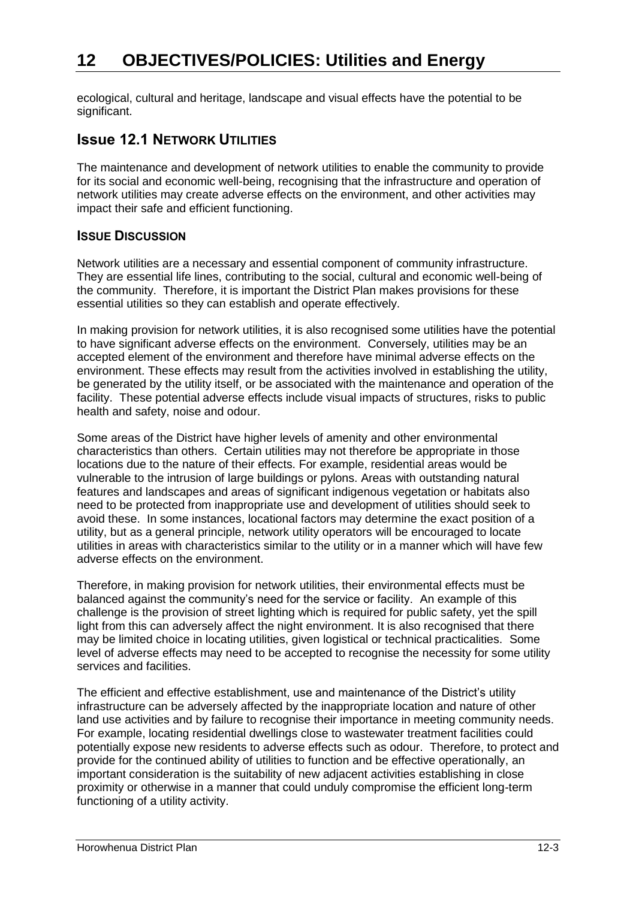ecological, cultural and heritage, landscape and visual effects have the potential to be significant.

## **ISSUE 12.1 NETWORK UTILITIES**

The maintenance and development of network utilities to enable the community to provide for its social and economic well-being, recognising that the infrastructure and operation of network utilities may create adverse effects on the environment, and other activities may impact their safe and efficient functioning.

## **ISSUE DISCUSSION**

Network utilities are a necessary and essential component of community infrastructure. They are essential life lines, contributing to the social, cultural and economic well-being of the community. Therefore, it is important the District Plan makes provisions for these essential utilities so they can establish and operate effectively.

In making provision for network utilities, it is also recognised some utilities have the potential to have significant adverse effects on the environment. Conversely, utilities may be an accepted element of the environment and therefore have minimal adverse effects on the environment. These effects may result from the activities involved in establishing the utility, be generated by the utility itself, or be associated with the maintenance and operation of the facility. These potential adverse effects include visual impacts of structures, risks to public health and safety, noise and odour.

Some areas of the District have higher levels of amenity and other environmental characteristics than others. Certain utilities may not therefore be appropriate in those locations due to the nature of their effects. For example, residential areas would be vulnerable to the intrusion of large buildings or pylons. Areas with outstanding natural features and landscapes and areas of significant indigenous vegetation or habitats also need to be protected from inappropriate use and development of utilities should seek to avoid these. In some instances, locational factors may determine the exact position of a utility, but as a general principle, network utility operators will be encouraged to locate utilities in areas with characteristics similar to the utility or in a manner which will have few adverse effects on the environment.

Therefore, in making provision for network utilities, their environmental effects must be balanced against the community's need for the service or facility. An example of this challenge is the provision of street lighting which is required for public safety, yet the spill light from this can adversely affect the night environment. It is also recognised that there may be limited choice in locating utilities, given logistical or technical practicalities. Some level of adverse effects may need to be accepted to recognise the necessity for some utility services and facilities.

The efficient and effective establishment, use and maintenance of the District's utility infrastructure can be adversely affected by the inappropriate location and nature of other land use activities and by failure to recognise their importance in meeting community needs. For example, locating residential dwellings close to wastewater treatment facilities could potentially expose new residents to adverse effects such as odour. Therefore, to protect and provide for the continued ability of utilities to function and be effective operationally, an important consideration is the suitability of new adjacent activities establishing in close proximity or otherwise in a manner that could unduly compromise the efficient long-term functioning of a utility activity.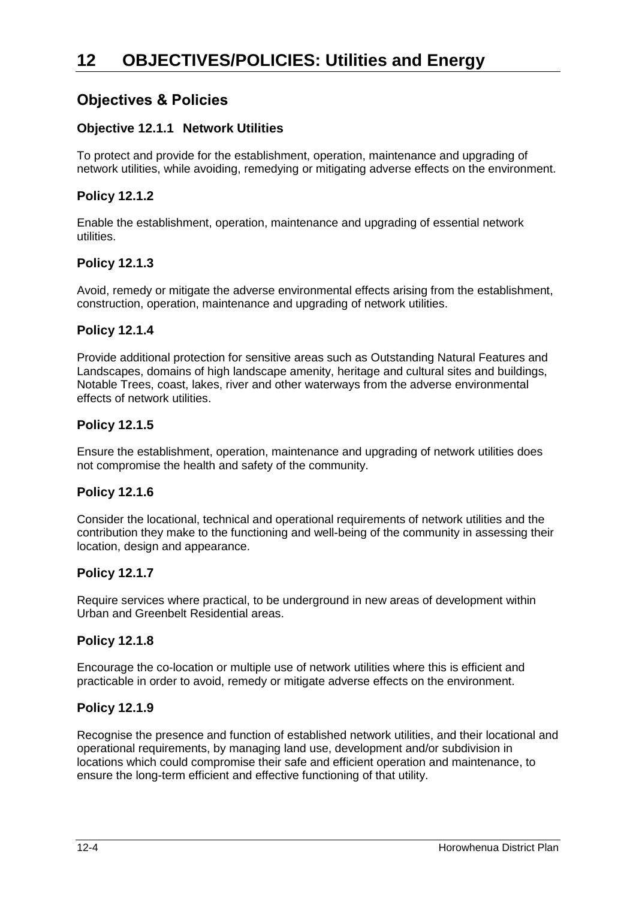## **Objectives & Policies**

## **Objective 12.1.1 Network Utilities**

To protect and provide for the establishment, operation, maintenance and upgrading of network utilities, while avoiding, remedying or mitigating adverse effects on the environment.

## **Policy 12.1.2**

Enable the establishment, operation, maintenance and upgrading of essential network utilities.

## **Policy 12.1.3**

Avoid, remedy or mitigate the adverse environmental effects arising from the establishment, construction, operation, maintenance and upgrading of network utilities.

## **Policy 12.1.4**

Provide additional protection for sensitive areas such as Outstanding Natural Features and Landscapes, domains of high landscape amenity, heritage and cultural sites and buildings, Notable Trees, coast, lakes, river and other waterways from the adverse environmental effects of network utilities.

## **Policy 12.1.5**

Ensure the establishment, operation, maintenance and upgrading of network utilities does not compromise the health and safety of the community.

## **Policy 12.1.6**

Consider the locational, technical and operational requirements of network utilities and the contribution they make to the functioning and well-being of the community in assessing their location, design and appearance.

## **Policy 12.1.7**

Require services where practical, to be underground in new areas of development within Urban and Greenbelt Residential areas.

## **Policy 12.1.8**

Encourage the co-location or multiple use of network utilities where this is efficient and practicable in order to avoid, remedy or mitigate adverse effects on the environment.

## **Policy 12.1.9**

Recognise the presence and function of established network utilities, and their locational and operational requirements, by managing land use, development and/or subdivision in locations which could compromise their safe and efficient operation and maintenance, to ensure the long-term efficient and effective functioning of that utility.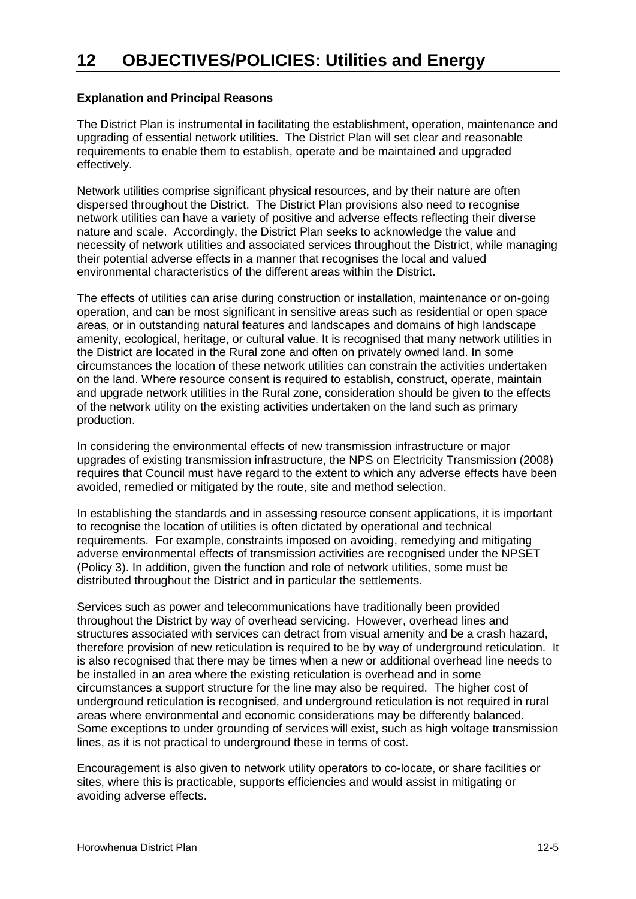## **Explanation and Principal Reasons**

The District Plan is instrumental in facilitating the establishment, operation, maintenance and upgrading of essential network utilities. The District Plan will set clear and reasonable requirements to enable them to establish, operate and be maintained and upgraded effectively.

Network utilities comprise significant physical resources, and by their nature are often dispersed throughout the District. The District Plan provisions also need to recognise network utilities can have a variety of positive and adverse effects reflecting their diverse nature and scale. Accordingly, the District Plan seeks to acknowledge the value and necessity of network utilities and associated services throughout the District, while managing their potential adverse effects in a manner that recognises the local and valued environmental characteristics of the different areas within the District.

The effects of utilities can arise during construction or installation, maintenance or on-going operation, and can be most significant in sensitive areas such as residential or open space areas, or in outstanding natural features and landscapes and domains of high landscape amenity, ecological, heritage, or cultural value. It is recognised that many network utilities in the District are located in the Rural zone and often on privately owned land. In some circumstances the location of these network utilities can constrain the activities undertaken on the land. Where resource consent is required to establish, construct, operate, maintain and upgrade network utilities in the Rural zone, consideration should be given to the effects of the network utility on the existing activities undertaken on the land such as primary production.

In considering the environmental effects of new transmission infrastructure or major upgrades of existing transmission infrastructure, the NPS on Electricity Transmission (2008) requires that Council must have regard to the extent to which any adverse effects have been avoided, remedied or mitigated by the route, site and method selection.

In establishing the standards and in assessing resource consent applications, it is important to recognise the location of utilities is often dictated by operational and technical requirements. For example, constraints imposed on avoiding, remedying and mitigating adverse environmental effects of transmission activities are recognised under the NPSET (Policy 3). In addition, given the function and role of network utilities, some must be distributed throughout the District and in particular the settlements.

Services such as power and telecommunications have traditionally been provided throughout the District by way of overhead servicing. However, overhead lines and structures associated with services can detract from visual amenity and be a crash hazard, therefore provision of new reticulation is required to be by way of underground reticulation. It is also recognised that there may be times when a new or additional overhead line needs to be installed in an area where the existing reticulation is overhead and in some circumstances a support structure for the line may also be required. The higher cost of underground reticulation is recognised, and underground reticulation is not required in rural areas where environmental and economic considerations may be differently balanced. Some exceptions to under grounding of services will exist, such as high voltage transmission lines, as it is not practical to underground these in terms of cost.

Encouragement is also given to network utility operators to co-locate, or share facilities or sites, where this is practicable, supports efficiencies and would assist in mitigating or avoiding adverse effects.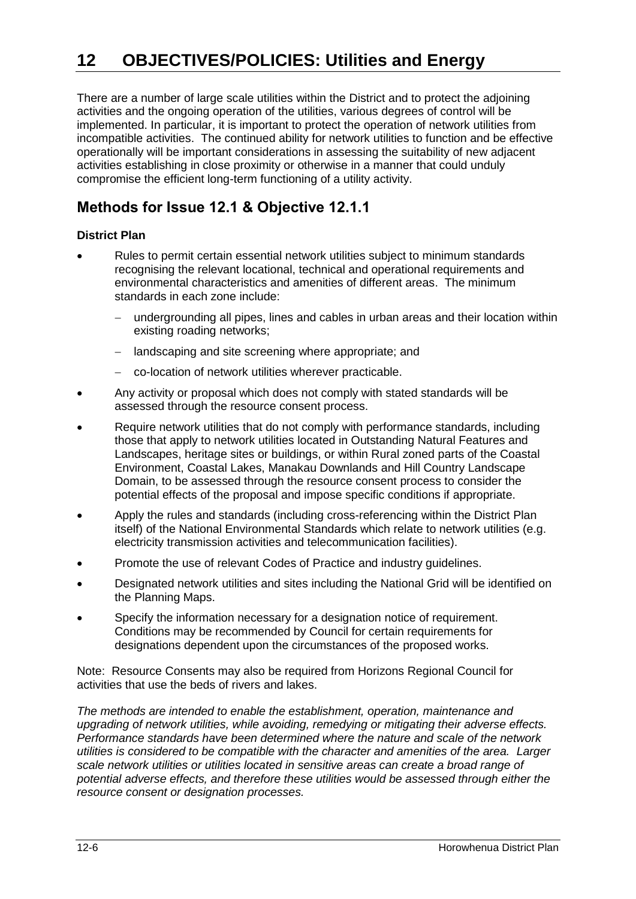There are a number of large scale utilities within the District and to protect the adjoining activities and the ongoing operation of the utilities, various degrees of control will be implemented. In particular, it is important to protect the operation of network utilities from incompatible activities. The continued ability for network utilities to function and be effective operationally will be important considerations in assessing the suitability of new adjacent activities establishing in close proximity or otherwise in a manner that could unduly compromise the efficient long-term functioning of a utility activity.

# **Methods for Issue 12.1 & Objective 12.1.1**

#### **District Plan**

- Rules to permit certain essential network utilities subject to minimum standards recognising the relevant locational, technical and operational requirements and environmental characteristics and amenities of different areas. The minimum standards in each zone include:
	- undergrounding all pipes, lines and cables in urban areas and their location within existing roading networks;
	- landscaping and site screening where appropriate; and
	- co-location of network utilities wherever practicable.
- Any activity or proposal which does not comply with stated standards will be assessed through the resource consent process.
- Require network utilities that do not comply with performance standards, including those that apply to network utilities located in Outstanding Natural Features and Landscapes, heritage sites or buildings, or within Rural zoned parts of the Coastal Environment, Coastal Lakes, Manakau Downlands and Hill Country Landscape Domain, to be assessed through the resource consent process to consider the potential effects of the proposal and impose specific conditions if appropriate.
- Apply the rules and standards (including cross-referencing within the District Plan itself) of the National Environmental Standards which relate to network utilities (e.g. electricity transmission activities and telecommunication facilities).
- Promote the use of relevant Codes of Practice and industry guidelines.
- Designated network utilities and sites including the National Grid will be identified on the Planning Maps.
- Specify the information necessary for a designation notice of requirement. Conditions may be recommended by Council for certain requirements for designations dependent upon the circumstances of the proposed works.

Note: Resource Consents may also be required from Horizons Regional Council for activities that use the beds of rivers and lakes.

*The methods are intended to enable the establishment, operation, maintenance and upgrading of network utilities, while avoiding, remedying or mitigating their adverse effects. Performance standards have been determined where the nature and scale of the network utilities is considered to be compatible with the character and amenities of the area. Larger scale network utilities or utilities located in sensitive areas can create a broad range of potential adverse effects, and therefore these utilities would be assessed through either the resource consent or designation processes.*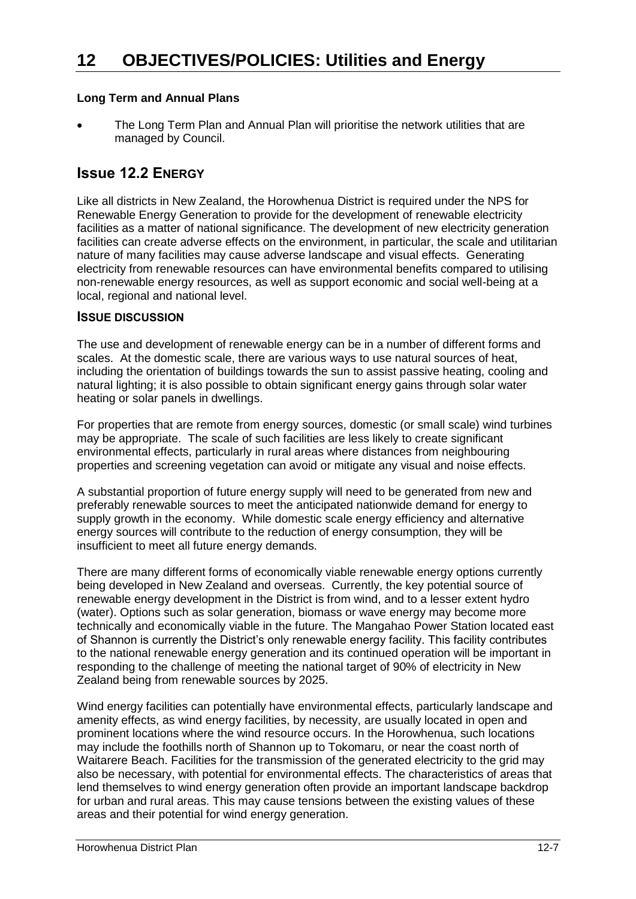### **Long Term and Annual Plans**

 The Long Term Plan and Annual Plan will prioritise the network utilities that are managed by Council.

## **Issue 12.2 ENERGY**

Like all districts in New Zealand, the Horowhenua District is required under the NPS for Renewable Energy Generation to provide for the development of renewable electricity facilities as a matter of national significance. The development of new electricity generation facilities can create adverse effects on the environment, in particular, the scale and utilitarian nature of many facilities may cause adverse landscape and visual effects. Generating electricity from renewable resources can have environmental benefits compared to utilising non-renewable energy resources, as well as support economic and social well-being at a local, regional and national level.

#### **ISSUE DISCUSSION**

The use and development of renewable energy can be in a number of different forms and scales. At the domestic scale, there are various ways to use natural sources of heat, including the orientation of buildings towards the sun to assist passive heating, cooling and natural lighting; it is also possible to obtain significant energy gains through solar water heating or solar panels in dwellings.

For properties that are remote from energy sources, domestic (or small scale) wind turbines may be appropriate. The scale of such facilities are less likely to create significant environmental effects, particularly in rural areas where distances from neighbouring properties and screening vegetation can avoid or mitigate any visual and noise effects.

A substantial proportion of future energy supply will need to be generated from new and preferably renewable sources to meet the anticipated nationwide demand for energy to supply growth in the economy. While domestic scale energy efficiency and alternative energy sources will contribute to the reduction of energy consumption, they will be insufficient to meet all future energy demands.

There are many different forms of economically viable renewable energy options currently being developed in New Zealand and overseas. Currently, the key potential source of renewable energy development in the District is from wind, and to a lesser extent hydro (water). Options such as solar generation, biomass or wave energy may become more technically and economically viable in the future. The Mangahao Power Station located east of Shannon is currently the District's only renewable energy facility. This facility contributes to the national renewable energy generation and its continued operation will be important in responding to the challenge of meeting the national target of 90% of electricity in New Zealand being from renewable sources by 2025.

Wind energy facilities can potentially have environmental effects, particularly landscape and amenity effects, as wind energy facilities, by necessity, are usually located in open and prominent locations where the wind resource occurs. In the Horowhenua, such locations may include the foothills north of Shannon up to Tokomaru, or near the coast north of Waitarere Beach. Facilities for the transmission of the generated electricity to the grid may also be necessary, with potential for environmental effects. The characteristics of areas that lend themselves to wind energy generation often provide an important landscape backdrop for urban and rural areas. This may cause tensions between the existing values of these areas and their potential for wind energy generation.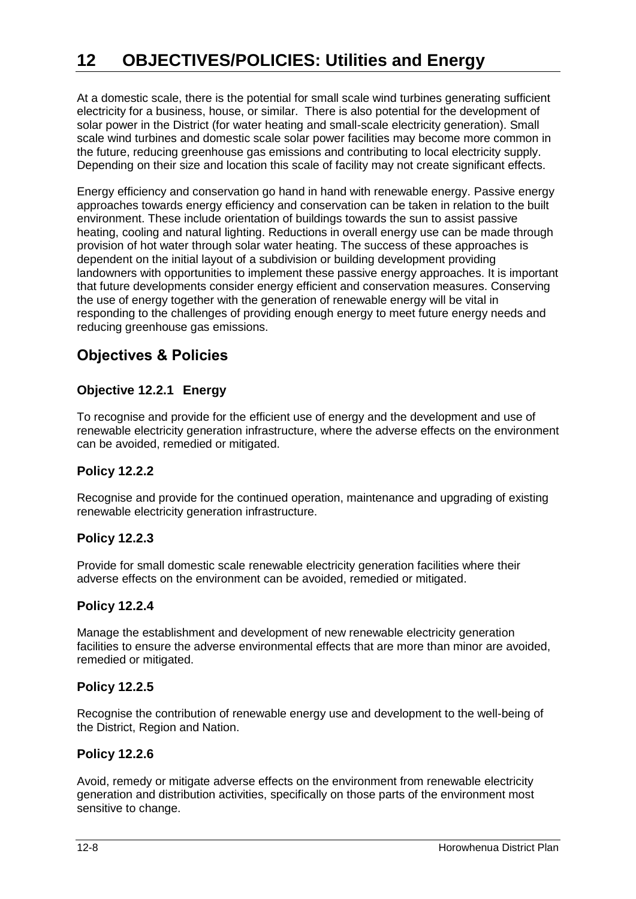At a domestic scale, there is the potential for small scale wind turbines generating sufficient electricity for a business, house, or similar. There is also potential for the development of solar power in the District (for water heating and small-scale electricity generation). Small scale wind turbines and domestic scale solar power facilities may become more common in the future, reducing greenhouse gas emissions and contributing to local electricity supply. Depending on their size and location this scale of facility may not create significant effects.

Energy efficiency and conservation go hand in hand with renewable energy. Passive energy approaches towards energy efficiency and conservation can be taken in relation to the built environment. These include orientation of buildings towards the sun to assist passive heating, cooling and natural lighting. Reductions in overall energy use can be made through provision of hot water through solar water heating. The success of these approaches is dependent on the initial layout of a subdivision or building development providing landowners with opportunities to implement these passive energy approaches. It is important that future developments consider energy efficient and conservation measures. Conserving the use of energy together with the generation of renewable energy will be vital in responding to the challenges of providing enough energy to meet future energy needs and reducing greenhouse gas emissions.

## **Objectives & Policies**

## **Objective 12.2.1 Energy**

To recognise and provide for the efficient use of energy and the development and use of renewable electricity generation infrastructure, where the adverse effects on the environment can be avoided, remedied or mitigated.

## **Policy 12.2.2**

Recognise and provide for the continued operation, maintenance and upgrading of existing renewable electricity generation infrastructure.

## **Policy 12.2.3**

Provide for small domestic scale renewable electricity generation facilities where their adverse effects on the environment can be avoided, remedied or mitigated.

## **Policy 12.2.4**

Manage the establishment and development of new renewable electricity generation facilities to ensure the adverse environmental effects that are more than minor are avoided, remedied or mitigated.

## **Policy 12.2.5**

Recognise the contribution of renewable energy use and development to the well-being of the District, Region and Nation.

## **Policy 12.2.6**

Avoid, remedy or mitigate adverse effects on the environment from renewable electricity generation and distribution activities, specifically on those parts of the environment most sensitive to change.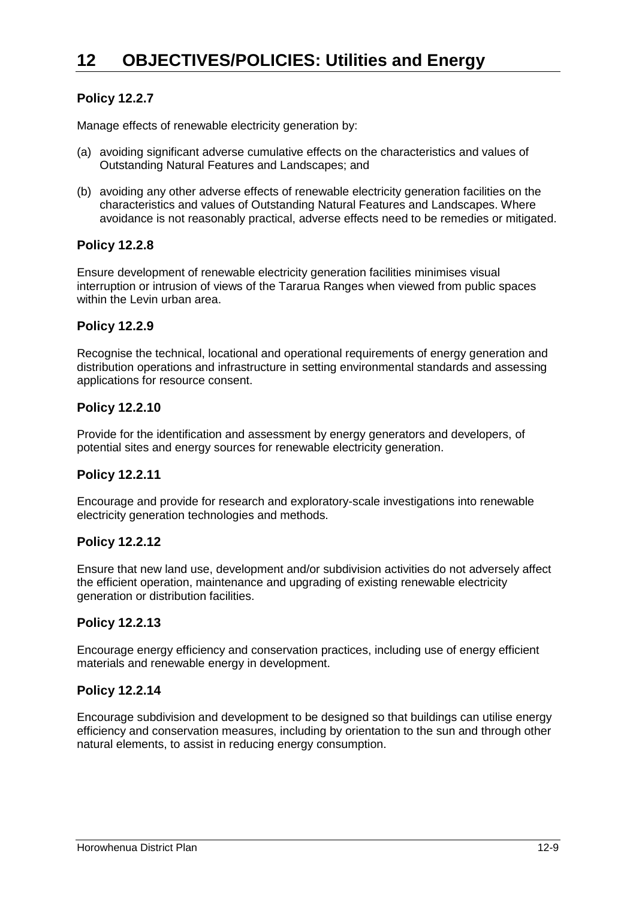## **Policy 12.2.7**

Manage effects of renewable electricity generation by:

- (a) avoiding significant adverse cumulative effects on the characteristics and values of Outstanding Natural Features and Landscapes; and
- (b) avoiding any other adverse effects of renewable electricity generation facilities on the characteristics and values of Outstanding Natural Features and Landscapes. Where avoidance is not reasonably practical, adverse effects need to be remedies or mitigated.

## **Policy 12.2.8**

Ensure development of renewable electricity generation facilities minimises visual interruption or intrusion of views of the Tararua Ranges when viewed from public spaces within the Levin urban area.

## **Policy 12.2.9**

Recognise the technical, locational and operational requirements of energy generation and distribution operations and infrastructure in setting environmental standards and assessing applications for resource consent.

#### **Policy 12.2.10**

Provide for the identification and assessment by energy generators and developers, of potential sites and energy sources for renewable electricity generation.

## **Policy 12.2.11**

Encourage and provide for research and exploratory-scale investigations into renewable electricity generation technologies and methods.

#### **Policy 12.2.12**

Ensure that new land use, development and/or subdivision activities do not adversely affect the efficient operation, maintenance and upgrading of existing renewable electricity generation or distribution facilities.

#### **Policy 12.2.13**

Encourage energy efficiency and conservation practices, including use of energy efficient materials and renewable energy in development.

## **Policy 12.2.14**

Encourage subdivision and development to be designed so that buildings can utilise energy efficiency and conservation measures, including by orientation to the sun and through other natural elements, to assist in reducing energy consumption.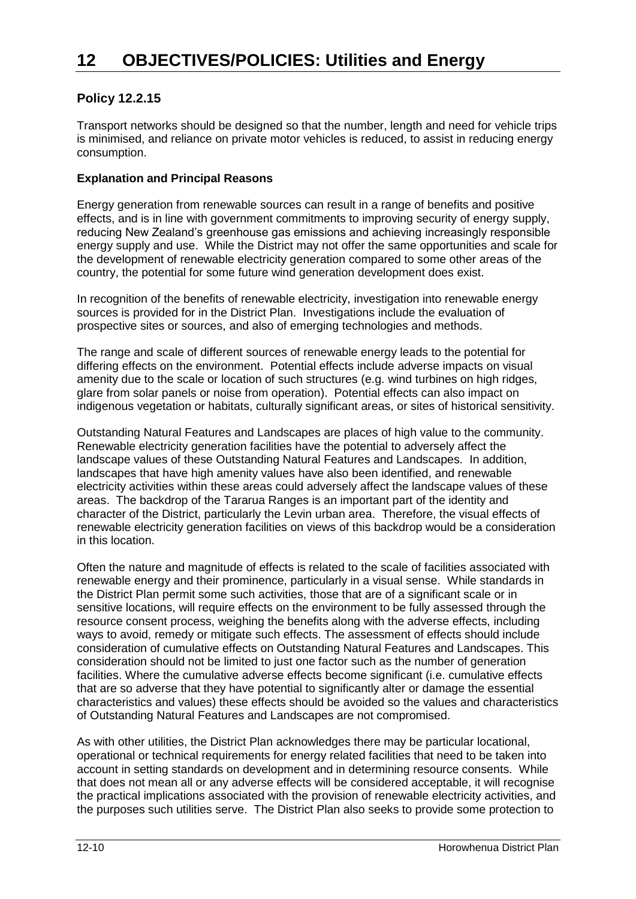## **Policy 12.2.15**

Transport networks should be designed so that the number, length and need for vehicle trips is minimised, and reliance on private motor vehicles is reduced, to assist in reducing energy consumption.

### **Explanation and Principal Reasons**

Energy generation from renewable sources can result in a range of benefits and positive effects, and is in line with government commitments to improving security of energy supply, reducing New Zealand's greenhouse gas emissions and achieving increasingly responsible energy supply and use. While the District may not offer the same opportunities and scale for the development of renewable electricity generation compared to some other areas of the country, the potential for some future wind generation development does exist.

In recognition of the benefits of renewable electricity, investigation into renewable energy sources is provided for in the District Plan. Investigations include the evaluation of prospective sites or sources, and also of emerging technologies and methods.

The range and scale of different sources of renewable energy leads to the potential for differing effects on the environment. Potential effects include adverse impacts on visual amenity due to the scale or location of such structures (e.g. wind turbines on high ridges, glare from solar panels or noise from operation). Potential effects can also impact on indigenous vegetation or habitats, culturally significant areas, or sites of historical sensitivity.

Outstanding Natural Features and Landscapes are places of high value to the community. Renewable electricity generation facilities have the potential to adversely affect the landscape values of these Outstanding Natural Features and Landscapes. In addition, landscapes that have high amenity values have also been identified, and renewable electricity activities within these areas could adversely affect the landscape values of these areas. The backdrop of the Tararua Ranges is an important part of the identity and character of the District, particularly the Levin urban area. Therefore, the visual effects of renewable electricity generation facilities on views of this backdrop would be a consideration in this location.

Often the nature and magnitude of effects is related to the scale of facilities associated with renewable energy and their prominence, particularly in a visual sense. While standards in the District Plan permit some such activities, those that are of a significant scale or in sensitive locations, will require effects on the environment to be fully assessed through the resource consent process, weighing the benefits along with the adverse effects, including ways to avoid, remedy or mitigate such effects. The assessment of effects should include consideration of cumulative effects on Outstanding Natural Features and Landscapes. This consideration should not be limited to just one factor such as the number of generation facilities. Where the cumulative adverse effects become significant (i.e. cumulative effects that are so adverse that they have potential to significantly alter or damage the essential characteristics and values) these effects should be avoided so the values and characteristics of Outstanding Natural Features and Landscapes are not compromised.

As with other utilities, the District Plan acknowledges there may be particular locational, operational or technical requirements for energy related facilities that need to be taken into account in setting standards on development and in determining resource consents. While that does not mean all or any adverse effects will be considered acceptable, it will recognise the practical implications associated with the provision of renewable electricity activities, and the purposes such utilities serve. The District Plan also seeks to provide some protection to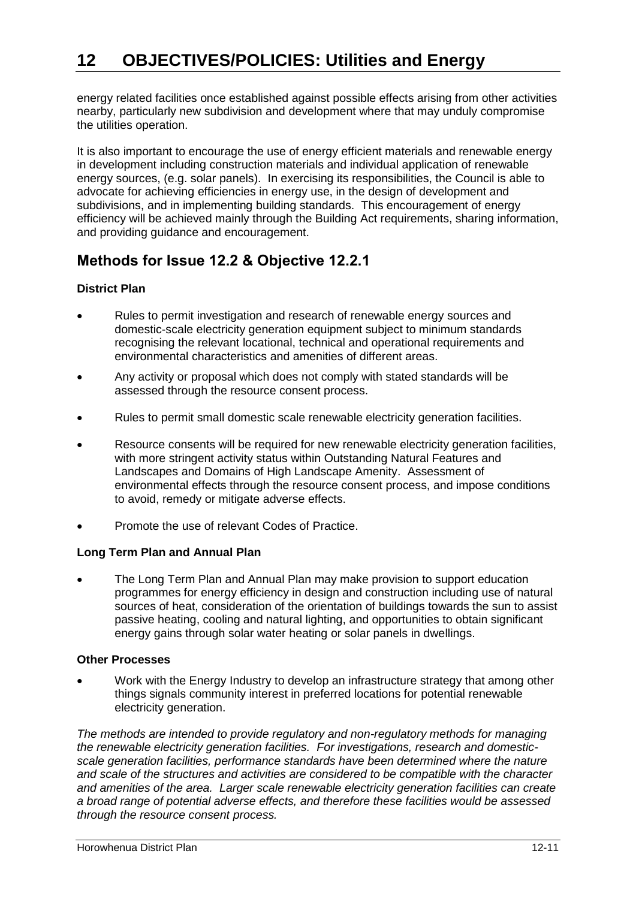energy related facilities once established against possible effects arising from other activities nearby, particularly new subdivision and development where that may unduly compromise the utilities operation.

It is also important to encourage the use of energy efficient materials and renewable energy in development including construction materials and individual application of renewable energy sources, (e.g. solar panels). In exercising its responsibilities, the Council is able to advocate for achieving efficiencies in energy use, in the design of development and subdivisions, and in implementing building standards. This encouragement of energy efficiency will be achieved mainly through the Building Act requirements, sharing information, and providing guidance and encouragement.

## **Methods for Issue 12.2 & Objective 12.2.1**

## **District Plan**

- Rules to permit investigation and research of renewable energy sources and domestic-scale electricity generation equipment subject to minimum standards recognising the relevant locational, technical and operational requirements and environmental characteristics and amenities of different areas.
- Any activity or proposal which does not comply with stated standards will be assessed through the resource consent process.
- Rules to permit small domestic scale renewable electricity generation facilities.
- Resource consents will be required for new renewable electricity generation facilities, with more stringent activity status within Outstanding Natural Features and Landscapes and Domains of High Landscape Amenity. Assessment of environmental effects through the resource consent process, and impose conditions to avoid, remedy or mitigate adverse effects.
- Promote the use of relevant Codes of Practice.

## **Long Term Plan and Annual Plan**

 The Long Term Plan and Annual Plan may make provision to support education programmes for energy efficiency in design and construction including use of natural sources of heat, consideration of the orientation of buildings towards the sun to assist passive heating, cooling and natural lighting, and opportunities to obtain significant energy gains through solar water heating or solar panels in dwellings.

#### **Other Processes**

 Work with the Energy Industry to develop an infrastructure strategy that among other things signals community interest in preferred locations for potential renewable electricity generation.

*The methods are intended to provide regulatory and non-regulatory methods for managing the renewable electricity generation facilities. For investigations, research and domesticscale generation facilities, performance standards have been determined where the nature and scale of the structures and activities are considered to be compatible with the character and amenities of the area. Larger scale renewable electricity generation facilities can create a broad range of potential adverse effects, and therefore these facilities would be assessed through the resource consent process.*